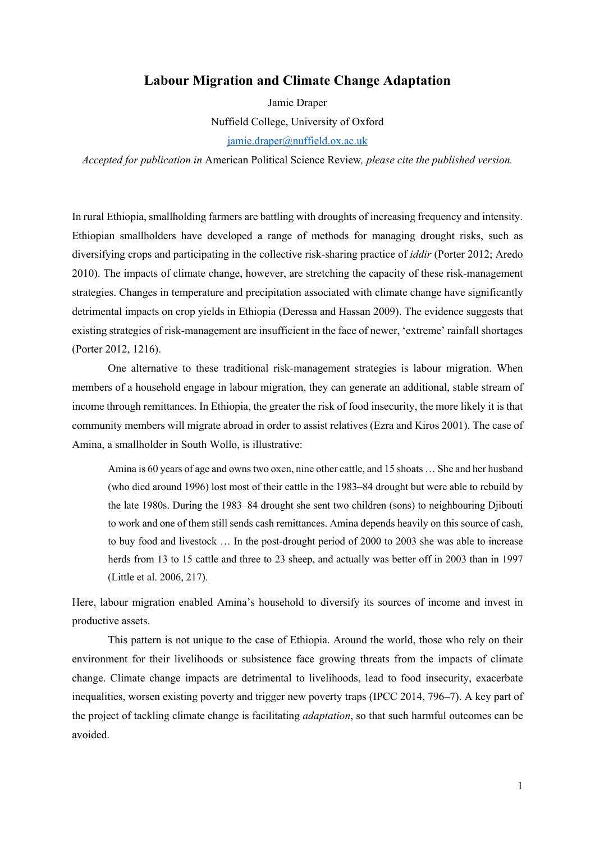# **Labour Migration and Climate Change Adaptation**

Jamie Draper Nuffield College, University of Oxford jamie.draper@nuffield.ox.ac.uk

*Accepted for publication in* American Political Science Review*, please cite the published version.* 

In rural Ethiopia, smallholding farmers are battling with droughts of increasing frequency and intensity. Ethiopian smallholders have developed a range of methods for managing drought risks, such as diversifying crops and participating in the collective risk-sharing practice of *iddir* (Porter 2012; Aredo 2010). The impacts of climate change, however, are stretching the capacity of these risk-management strategies. Changes in temperature and precipitation associated with climate change have significantly detrimental impacts on crop yields in Ethiopia (Deressa and Hassan 2009). The evidence suggests that existing strategies of risk-management are insufficient in the face of newer, 'extreme' rainfall shortages (Porter 2012, 1216).

One alternative to these traditional risk-management strategies is labour migration. When members of a household engage in labour migration, they can generate an additional, stable stream of income through remittances. In Ethiopia, the greater the risk of food insecurity, the more likely it is that community members will migrate abroad in order to assist relatives (Ezra and Kiros 2001). The case of Amina, a smallholder in South Wollo, is illustrative:

Amina is 60 years of age and owns two oxen, nine other cattle, and 15 shoats … She and her husband (who died around 1996) lost most of their cattle in the 1983–84 drought but were able to rebuild by the late 1980s. During the 1983–84 drought she sent two children (sons) to neighbouring Djibouti to work and one of them still sends cash remittances. Amina depends heavily on this source of cash, to buy food and livestock … In the post-drought period of 2000 to 2003 she was able to increase herds from 13 to 15 cattle and three to 23 sheep, and actually was better off in 2003 than in 1997 (Little et al. 2006, 217).

Here, labour migration enabled Amina's household to diversify its sources of income and invest in productive assets.

This pattern is not unique to the case of Ethiopia. Around the world, those who rely on their environment for their livelihoods or subsistence face growing threats from the impacts of climate change. Climate change impacts are detrimental to livelihoods, lead to food insecurity, exacerbate inequalities, worsen existing poverty and trigger new poverty traps (IPCC 2014, 796–7). A key part of the project of tackling climate change is facilitating *adaptation*, so that such harmful outcomes can be avoided.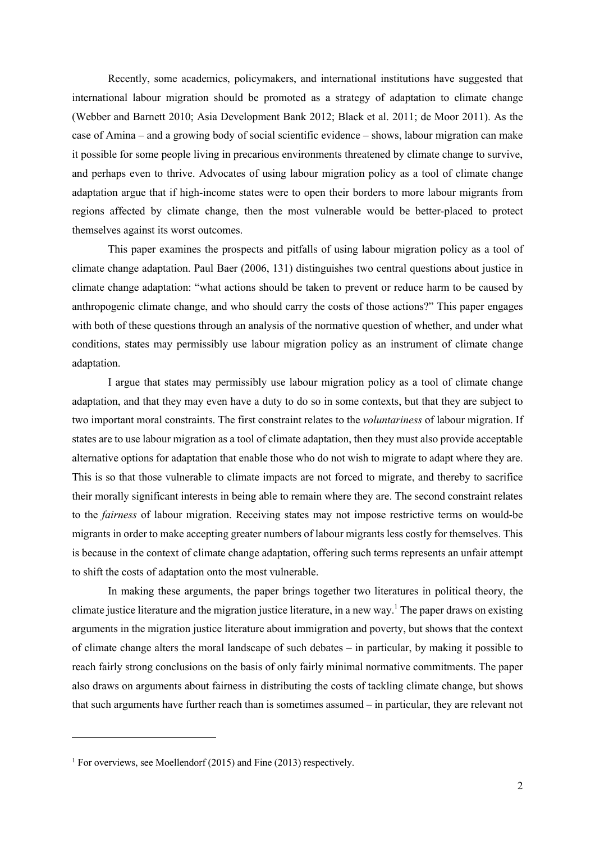Recently, some academics, policymakers, and international institutions have suggested that international labour migration should be promoted as a strategy of adaptation to climate change (Webber and Barnett 2010; Asia Development Bank 2012; Black et al. 2011; de Moor 2011). As the case of Amina – and a growing body of social scientific evidence – shows, labour migration can make it possible for some people living in precarious environments threatened by climate change to survive, and perhaps even to thrive. Advocates of using labour migration policy as a tool of climate change adaptation argue that if high-income states were to open their borders to more labour migrants from regions affected by climate change, then the most vulnerable would be better-placed to protect themselves against its worst outcomes.

This paper examines the prospects and pitfalls of using labour migration policy as a tool of climate change adaptation. Paul Baer (2006, 131) distinguishes two central questions about justice in climate change adaptation: "what actions should be taken to prevent or reduce harm to be caused by anthropogenic climate change, and who should carry the costs of those actions?" This paper engages with both of these questions through an analysis of the normative question of whether, and under what conditions, states may permissibly use labour migration policy as an instrument of climate change adaptation.

I argue that states may permissibly use labour migration policy as a tool of climate change adaptation, and that they may even have a duty to do so in some contexts, but that they are subject to two important moral constraints. The first constraint relates to the *voluntariness* of labour migration. If states are to use labour migration as a tool of climate adaptation, then they must also provide acceptable alternative options for adaptation that enable those who do not wish to migrate to adapt where they are. This is so that those vulnerable to climate impacts are not forced to migrate, and thereby to sacrifice their morally significant interests in being able to remain where they are. The second constraint relates to the *fairness* of labour migration. Receiving states may not impose restrictive terms on would-be migrants in order to make accepting greater numbers of labour migrants less costly for themselves. This is because in the context of climate change adaptation, offering such terms represents an unfair attempt to shift the costs of adaptation onto the most vulnerable.

In making these arguments, the paper brings together two literatures in political theory, the climate justice literature and the migration justice literature, in a new way.<sup>1</sup> The paper draws on existing arguments in the migration justice literature about immigration and poverty, but shows that the context of climate change alters the moral landscape of such debates – in particular, by making it possible to reach fairly strong conclusions on the basis of only fairly minimal normative commitments. The paper also draws on arguments about fairness in distributing the costs of tackling climate change, but shows that such arguments have further reach than is sometimes assumed – in particular, they are relevant not

<sup>&</sup>lt;sup>1</sup> For overviews, see Moellendorf (2015) and Fine (2013) respectively.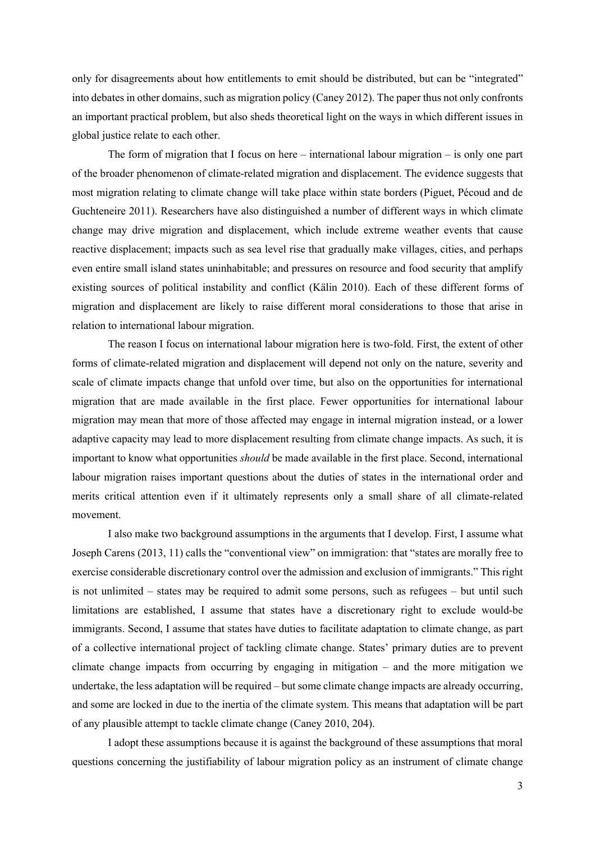only for disagreements about how entitlements to emit should be distributed, but can be "integrated" into debates in other domains, such as migration policy (Caney 2012). The paper thus not only confronts an important practical problem, but also sheds theoretical light on the ways in which different issues in global justice relate to each other.

The form of migration that I focus on here – international labour migration – is only one part of the broader phenomenon of climate-related migration and displacement. The evidence suggests that most migration relating to climate change will take place within state borders (Piguet, Pécoud and de Guchteneire 2011). Researchers have also distinguished a number of different ways in which climate change may drive migration and displacement, which include extreme weather events that cause reactive displacement; impacts such as sea level rise that gradually make villages, cities, and perhaps even entire small island states uninhabitable; and pressures on resource and food security that amplify existing sources of political instability and conflict (Kälin 2010). Each of these different forms of migration and displacement are likely to raise different moral considerations to those that arise in relation to international labour migration.

The reason I focus on international labour migration here is two-fold. First, the extent of other forms of climate-related migration and displacement will depend not only on the nature, severity and scale of climate impacts change that unfold over time, but also on the opportunities for international migration that are made available in the first place. Fewer opportunities for international labour migration may mean that more of those affected may engage in internal migration instead, or a lower adaptive capacity may lead to more displacement resulting from climate change impacts. As such, it is important to know what opportunities *should* be made available in the first place. Second, international labour migration raises important questions about the duties of states in the international order and merits critical attention even if it ultimately represents only a small share of all climate-related movement.

I also make two background assumptions in the arguments that I develop. First, I assume what Joseph Carens (2013, 11) calls the "conventional view" on immigration: that "states are morally free to exercise considerable discretionary control over the admission and exclusion of immigrants." Thisright is not unlimited – states may be required to admit some persons, such as refugees – but until such limitations are established, I assume that states have a discretionary right to exclude would-be immigrants. Second, I assume that states have duties to facilitate adaptation to climate change, as part of a collective international project of tackling climate change. States' primary duties are to prevent climate change impacts from occurring by engaging in mitigation – and the more mitigation we undertake, the less adaptation will be required – but some climate change impacts are already occurring, and some are locked in due to the inertia of the climate system. This means that adaptation will be part of any plausible attempt to tackle climate change (Caney 2010, 204).

I adopt these assumptions because it is against the background of these assumptions that moral questions concerning the justifiability of labour migration policy as an instrument of climate change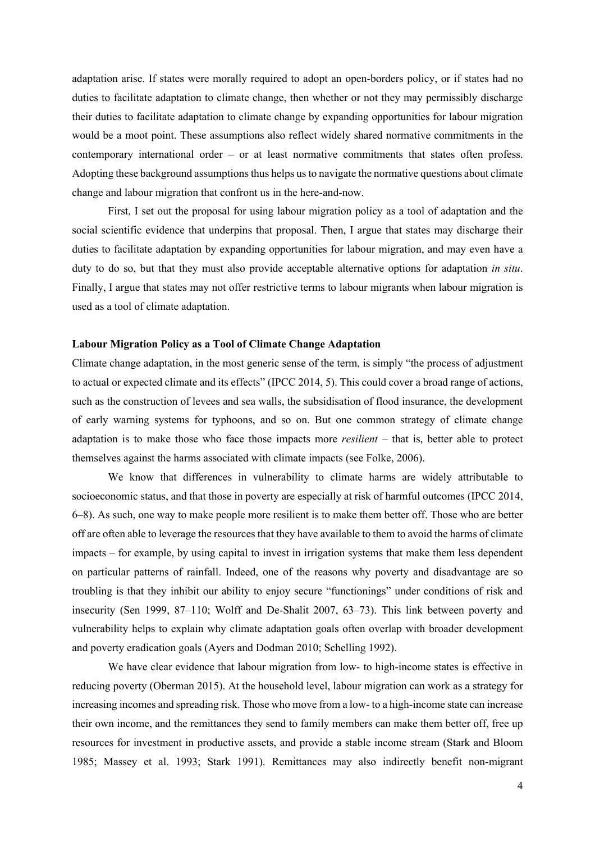adaptation arise. If states were morally required to adopt an open-borders policy, or if states had no duties to facilitate adaptation to climate change, then whether or not they may permissibly discharge their duties to facilitate adaptation to climate change by expanding opportunities for labour migration would be a moot point. These assumptions also reflect widely shared normative commitments in the contemporary international order – or at least normative commitments that states often profess. Adopting these background assumptions thus helps usto navigate the normative questions about climate change and labour migration that confront us in the here-and-now.

First, I set out the proposal for using labour migration policy as a tool of adaptation and the social scientific evidence that underpins that proposal. Then, I argue that states may discharge their duties to facilitate adaptation by expanding opportunities for labour migration, and may even have a duty to do so, but that they must also provide acceptable alternative options for adaptation *in situ*. Finally, I argue that states may not offer restrictive terms to labour migrants when labour migration is used as a tool of climate adaptation.

## **Labour Migration Policy as a Tool of Climate Change Adaptation**

Climate change adaptation, in the most generic sense of the term, is simply "the process of adjustment to actual or expected climate and its effects" (IPCC 2014, 5). This could cover a broad range of actions, such as the construction of levees and sea walls, the subsidisation of flood insurance, the development of early warning systems for typhoons, and so on. But one common strategy of climate change adaptation is to make those who face those impacts more *resilient* – that is, better able to protect themselves against the harms associated with climate impacts (see Folke, 2006).

We know that differences in vulnerability to climate harms are widely attributable to socioeconomic status, and that those in poverty are especially at risk of harmful outcomes (IPCC 2014, 6–8). As such, one way to make people more resilient is to make them better off. Those who are better off are often able to leverage the resources that they have available to them to avoid the harms of climate impacts – for example, by using capital to invest in irrigation systems that make them less dependent on particular patterns of rainfall. Indeed, one of the reasons why poverty and disadvantage are so troubling is that they inhibit our ability to enjoy secure "functionings" under conditions of risk and insecurity (Sen 1999, 87–110; Wolff and De-Shalit 2007, 63–73). This link between poverty and vulnerability helps to explain why climate adaptation goals often overlap with broader development and poverty eradication goals (Ayers and Dodman 2010; Schelling 1992).

We have clear evidence that labour migration from low- to high-income states is effective in reducing poverty (Oberman 2015). At the household level, labour migration can work as a strategy for increasing incomes and spreading risk. Those who move from a low- to a high-income state can increase their own income, and the remittances they send to family members can make them better off, free up resources for investment in productive assets, and provide a stable income stream (Stark and Bloom 1985; Massey et al. 1993; Stark 1991). Remittances may also indirectly benefit non-migrant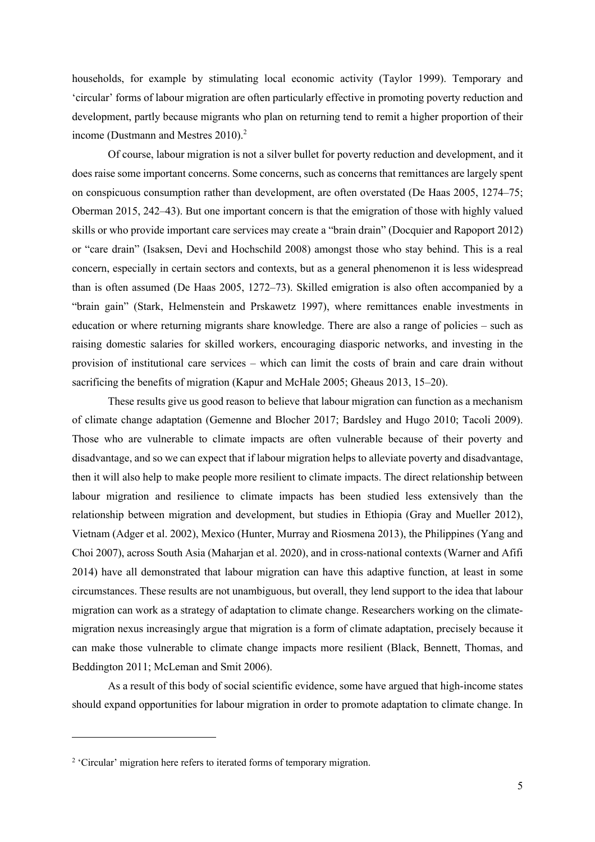households, for example by stimulating local economic activity (Taylor 1999). Temporary and 'circular' forms of labour migration are often particularly effective in promoting poverty reduction and development, partly because migrants who plan on returning tend to remit a higher proportion of their income (Dustmann and Mestres 2010). 2

Of course, labour migration is not a silver bullet for poverty reduction and development, and it does raise some important concerns. Some concerns, such as concerns that remittances are largely spent on conspicuous consumption rather than development, are often overstated (De Haas 2005, 1274–75; Oberman 2015, 242–43). But one important concern is that the emigration of those with highly valued skills or who provide important care services may create a "brain drain" (Docquier and Rapoport 2012) or "care drain" (Isaksen, Devi and Hochschild 2008) amongst those who stay behind. This is a real concern, especially in certain sectors and contexts, but as a general phenomenon it is less widespread than is often assumed (De Haas 2005, 1272–73). Skilled emigration is also often accompanied by a "brain gain" (Stark, Helmenstein and Prskawetz 1997), where remittances enable investments in education or where returning migrants share knowledge. There are also a range of policies – such as raising domestic salaries for skilled workers, encouraging diasporic networks, and investing in the provision of institutional care services – which can limit the costs of brain and care drain without sacrificing the benefits of migration (Kapur and McHale 2005; Gheaus 2013, 15–20).

These results give us good reason to believe that labour migration can function as a mechanism of climate change adaptation (Gemenne and Blocher 2017; Bardsley and Hugo 2010; Tacoli 2009). Those who are vulnerable to climate impacts are often vulnerable because of their poverty and disadvantage, and so we can expect that if labour migration helps to alleviate poverty and disadvantage, then it will also help to make people more resilient to climate impacts. The direct relationship between labour migration and resilience to climate impacts has been studied less extensively than the relationship between migration and development, but studies in Ethiopia (Gray and Mueller 2012), Vietnam (Adger et al. 2002), Mexico (Hunter, Murray and Riosmena 2013), the Philippines (Yang and Choi 2007), across South Asia (Maharjan et al. 2020), and in cross-national contexts (Warner and Afifi 2014) have all demonstrated that labour migration can have this adaptive function, at least in some circumstances. These results are not unambiguous, but overall, they lend support to the idea that labour migration can work as a strategy of adaptation to climate change. Researchers working on the climatemigration nexus increasingly argue that migration is a form of climate adaptation, precisely because it can make those vulnerable to climate change impacts more resilient (Black, Bennett, Thomas, and Beddington 2011; McLeman and Smit 2006).

As a result of this body of social scientific evidence, some have argued that high-income states should expand opportunities for labour migration in order to promote adaptation to climate change. In

<sup>2</sup> 'Circular' migration here refers to iterated forms of temporary migration.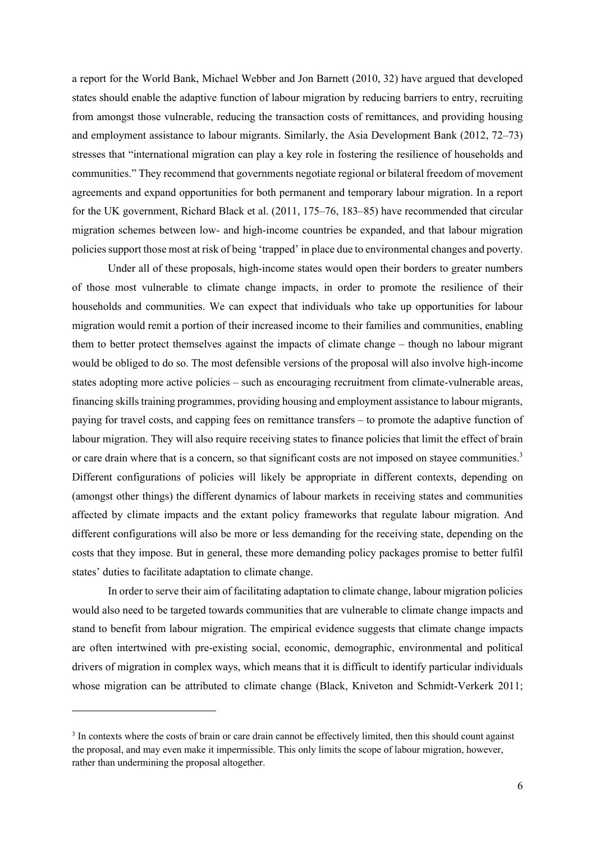a report for the World Bank, Michael Webber and Jon Barnett (2010, 32) have argued that developed states should enable the adaptive function of labour migration by reducing barriers to entry, recruiting from amongst those vulnerable, reducing the transaction costs of remittances, and providing housing and employment assistance to labour migrants. Similarly, the Asia Development Bank (2012, 72–73) stresses that "international migration can play a key role in fostering the resilience of households and communities." They recommend that governments negotiate regional or bilateral freedom of movement agreements and expand opportunities for both permanent and temporary labour migration. In a report for the UK government, Richard Black et al. (2011, 175–76, 183–85) have recommended that circular migration schemes between low- and high-income countries be expanded, and that labour migration policies support those most at risk of being 'trapped' in place due to environmental changes and poverty.

Under all of these proposals, high-income states would open their borders to greater numbers of those most vulnerable to climate change impacts, in order to promote the resilience of their households and communities. We can expect that individuals who take up opportunities for labour migration would remit a portion of their increased income to their families and communities, enabling them to better protect themselves against the impacts of climate change – though no labour migrant would be obliged to do so. The most defensible versions of the proposal will also involve high-income states adopting more active policies – such as encouraging recruitment from climate-vulnerable areas, financing skills training programmes, providing housing and employment assistance to labour migrants, paying for travel costs, and capping fees on remittance transfers – to promote the adaptive function of labour migration. They will also require receiving states to finance policies that limit the effect of brain or care drain where that is a concern, so that significant costs are not imposed on stayee communities.<sup>3</sup> Different configurations of policies will likely be appropriate in different contexts, depending on (amongst other things) the different dynamics of labour markets in receiving states and communities affected by climate impacts and the extant policy frameworks that regulate labour migration. And different configurations will also be more or less demanding for the receiving state, depending on the costs that they impose. But in general, these more demanding policy packages promise to better fulfil states' duties to facilitate adaptation to climate change.

In order to serve their aim of facilitating adaptation to climate change, labour migration policies would also need to be targeted towards communities that are vulnerable to climate change impacts and stand to benefit from labour migration. The empirical evidence suggests that climate change impacts are often intertwined with pre-existing social, economic, demographic, environmental and political drivers of migration in complex ways, which means that it is difficult to identify particular individuals whose migration can be attributed to climate change (Black, Kniveton and Schmidt-Verkerk 2011;

<sup>&</sup>lt;sup>3</sup> In contexts where the costs of brain or care drain cannot be effectively limited, then this should count against the proposal, and may even make it impermissible. This only limits the scope of labour migration, however, rather than undermining the proposal altogether.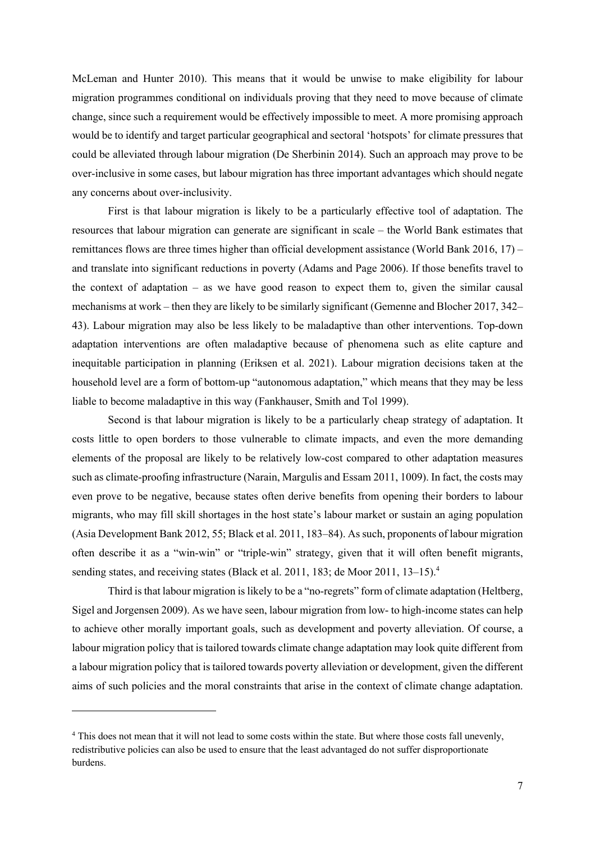McLeman and Hunter 2010). This means that it would be unwise to make eligibility for labour migration programmes conditional on individuals proving that they need to move because of climate change, since such a requirement would be effectively impossible to meet. A more promising approach would be to identify and target particular geographical and sectoral 'hotspots' for climate pressures that could be alleviated through labour migration (De Sherbinin 2014). Such an approach may prove to be over-inclusive in some cases, but labour migration has three important advantages which should negate any concerns about over-inclusivity.

First is that labour migration is likely to be a particularly effective tool of adaptation. The resources that labour migration can generate are significant in scale – the World Bank estimates that remittances flows are three times higher than official development assistance (World Bank 2016, 17) – and translate into significant reductions in poverty (Adams and Page 2006). If those benefits travel to the context of adaptation – as we have good reason to expect them to, given the similar causal mechanisms at work – then they are likely to be similarly significant (Gemenne and Blocher 2017, 342– 43). Labour migration may also be less likely to be maladaptive than other interventions. Top-down adaptation interventions are often maladaptive because of phenomena such as elite capture and inequitable participation in planning (Eriksen et al. 2021). Labour migration decisions taken at the household level are a form of bottom-up "autonomous adaptation," which means that they may be less liable to become maladaptive in this way (Fankhauser, Smith and Tol 1999).

Second is that labour migration is likely to be a particularly cheap strategy of adaptation. It costs little to open borders to those vulnerable to climate impacts, and even the more demanding elements of the proposal are likely to be relatively low-cost compared to other adaptation measures such as climate-proofing infrastructure (Narain, Margulis and Essam 2011, 1009). In fact, the costs may even prove to be negative, because states often derive benefits from opening their borders to labour migrants, who may fill skill shortages in the host state's labour market or sustain an aging population (Asia Development Bank 2012, 55; Black et al. 2011, 183–84). As such, proponents of labour migration often describe it as a "win-win" or "triple-win" strategy, given that it will often benefit migrants, sending states, and receiving states (Black et al. 2011, 183; de Moor 2011, 13–15).<sup>4</sup>

Third is that labour migration is likely to be a "no-regrets" form of climate adaptation (Heltberg, Sigel and Jorgensen 2009). As we have seen, labour migration from low- to high-income states can help to achieve other morally important goals, such as development and poverty alleviation. Of course, a labour migration policy that is tailored towards climate change adaptation may look quite different from a labour migration policy that is tailored towards poverty alleviation or development, given the different aims of such policies and the moral constraints that arise in the context of climate change adaptation.

<sup>4</sup> This does not mean that it will not lead to some costs within the state. But where those costs fall unevenly, redistributive policies can also be used to ensure that the least advantaged do not suffer disproportionate burdens.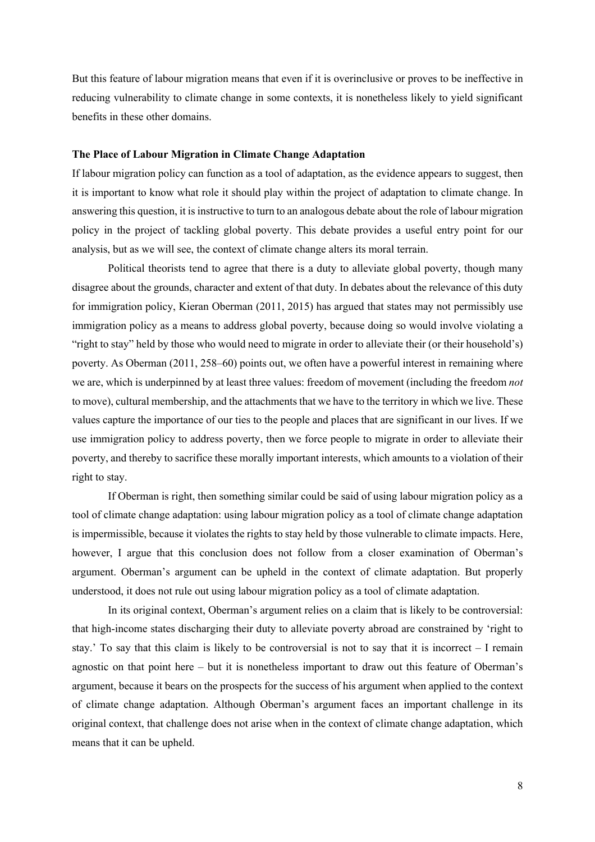But this feature of labour migration means that even if it is overinclusive or proves to be ineffective in reducing vulnerability to climate change in some contexts, it is nonetheless likely to yield significant benefits in these other domains.

### **The Place of Labour Migration in Climate Change Adaptation**

If labour migration policy can function as a tool of adaptation, as the evidence appears to suggest, then it is important to know what role it should play within the project of adaptation to climate change. In answering this question, it is instructive to turn to an analogous debate about the role of labour migration policy in the project of tackling global poverty. This debate provides a useful entry point for our analysis, but as we will see, the context of climate change alters its moral terrain.

Political theorists tend to agree that there is a duty to alleviate global poverty, though many disagree about the grounds, character and extent of that duty. In debates about the relevance of this duty for immigration policy, Kieran Oberman (2011, 2015) has argued that states may not permissibly use immigration policy as a means to address global poverty, because doing so would involve violating a "right to stay" held by those who would need to migrate in order to alleviate their (or their household's) poverty. As Oberman (2011, 258–60) points out, we often have a powerful interest in remaining where we are, which is underpinned by at least three values: freedom of movement (including the freedom *not*  to move), cultural membership, and the attachments that we have to the territory in which we live. These values capture the importance of our ties to the people and places that are significant in our lives. If we use immigration policy to address poverty, then we force people to migrate in order to alleviate their poverty, and thereby to sacrifice these morally important interests, which amounts to a violation of their right to stay.

If Oberman is right, then something similar could be said of using labour migration policy as a tool of climate change adaptation: using labour migration policy as a tool of climate change adaptation is impermissible, because it violates the rights to stay held by those vulnerable to climate impacts. Here, however, I argue that this conclusion does not follow from a closer examination of Oberman's argument. Oberman's argument can be upheld in the context of climate adaptation. But properly understood, it does not rule out using labour migration policy as a tool of climate adaptation.

In its original context, Oberman's argument relies on a claim that is likely to be controversial: that high-income states discharging their duty to alleviate poverty abroad are constrained by 'right to stay.' To say that this claim is likely to be controversial is not to say that it is incorrect – I remain agnostic on that point here – but it is nonetheless important to draw out this feature of Oberman's argument, because it bears on the prospects for the success of his argument when applied to the context of climate change adaptation. Although Oberman's argument faces an important challenge in its original context, that challenge does not arise when in the context of climate change adaptation, which means that it can be upheld.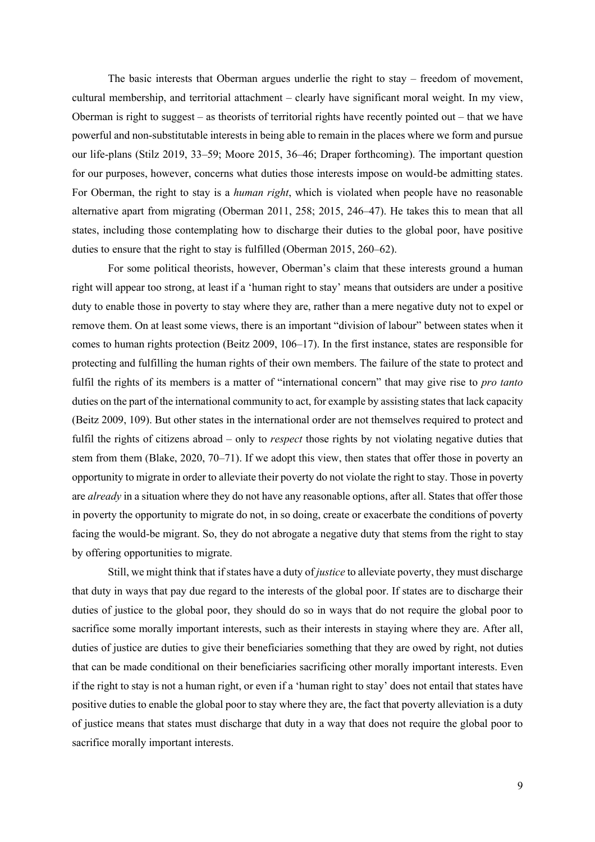The basic interests that Oberman argues underlie the right to stay – freedom of movement, cultural membership, and territorial attachment – clearly have significant moral weight. In my view, Oberman is right to suggest – as theorists of territorial rights have recently pointed out – that we have powerful and non-substitutable interests in being able to remain in the places where we form and pursue our life-plans (Stilz 2019, 33–59; Moore 2015, 36–46; Draper forthcoming). The important question for our purposes, however, concerns what duties those interests impose on would-be admitting states. For Oberman, the right to stay is a *human right*, which is violated when people have no reasonable alternative apart from migrating (Oberman 2011, 258; 2015, 246–47). He takes this to mean that all states, including those contemplating how to discharge their duties to the global poor, have positive duties to ensure that the right to stay is fulfilled (Oberman 2015, 260–62).

For some political theorists, however, Oberman's claim that these interests ground a human right will appear too strong, at least if a 'human right to stay' means that outsiders are under a positive duty to enable those in poverty to stay where they are, rather than a mere negative duty not to expel or remove them. On at least some views, there is an important "division of labour" between states when it comes to human rights protection (Beitz 2009, 106–17). In the first instance, states are responsible for protecting and fulfilling the human rights of their own members. The failure of the state to protect and fulfil the rights of its members is a matter of "international concern" that may give rise to *pro tanto* duties on the part of the international community to act, for example by assisting states that lack capacity (Beitz 2009, 109). But other states in the international order are not themselves required to protect and fulfil the rights of citizens abroad – only to *respect* those rights by not violating negative duties that stem from them (Blake, 2020, 70–71). If we adopt this view, then states that offer those in poverty an opportunity to migrate in order to alleviate their poverty do not violate the right to stay. Those in poverty are *already* in a situation where they do not have any reasonable options, after all. States that offer those in poverty the opportunity to migrate do not, in so doing, create or exacerbate the conditions of poverty facing the would-be migrant. So, they do not abrogate a negative duty that stems from the right to stay by offering opportunities to migrate.

Still, we might think that if states have a duty of *justice* to alleviate poverty, they must discharge that duty in ways that pay due regard to the interests of the global poor. If states are to discharge their duties of justice to the global poor, they should do so in ways that do not require the global poor to sacrifice some morally important interests, such as their interests in staying where they are. After all, duties of justice are duties to give their beneficiaries something that they are owed by right, not duties that can be made conditional on their beneficiaries sacrificing other morally important interests. Even if the right to stay is not a human right, or even if a 'human right to stay' does not entail that states have positive duties to enable the global poor to stay where they are, the fact that poverty alleviation is a duty of justice means that states must discharge that duty in a way that does not require the global poor to sacrifice morally important interests.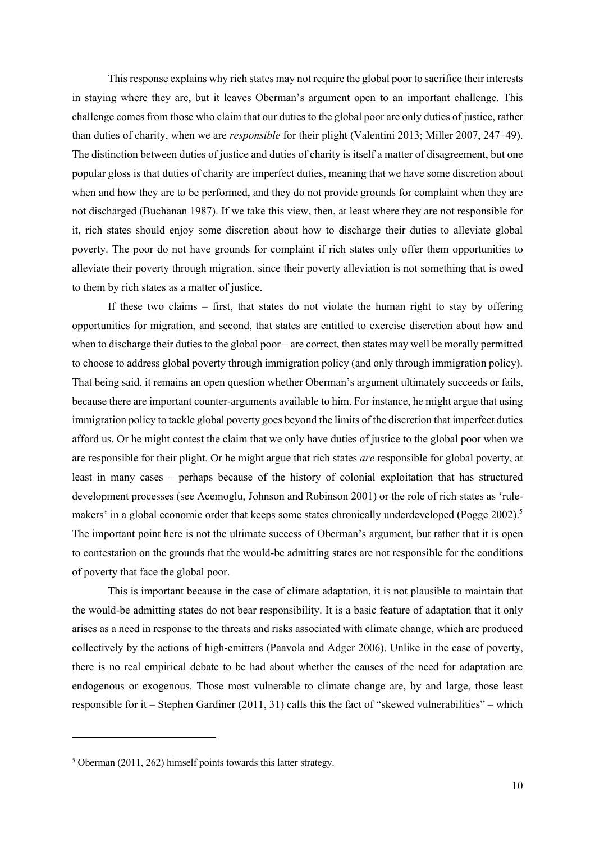This response explains why rich states may not require the global poor to sacrifice their interests in staying where they are, but it leaves Oberman's argument open to an important challenge. This challenge comes from those who claim that our duties to the global poor are only duties of justice, rather than duties of charity, when we are *responsible* for their plight (Valentini 2013; Miller 2007, 247–49). The distinction between duties of justice and duties of charity is itself a matter of disagreement, but one popular gloss is that duties of charity are imperfect duties, meaning that we have some discretion about when and how they are to be performed, and they do not provide grounds for complaint when they are not discharged (Buchanan 1987). If we take this view, then, at least where they are not responsible for it, rich states should enjoy some discretion about how to discharge their duties to alleviate global poverty. The poor do not have grounds for complaint if rich states only offer them opportunities to alleviate their poverty through migration, since their poverty alleviation is not something that is owed to them by rich states as a matter of justice.

If these two claims – first, that states do not violate the human right to stay by offering opportunities for migration, and second, that states are entitled to exercise discretion about how and when to discharge their duties to the global poor – are correct, then states may well be morally permitted to choose to address global poverty through immigration policy (and only through immigration policy). That being said, it remains an open question whether Oberman's argument ultimately succeeds or fails, because there are important counter-arguments available to him. For instance, he might argue that using immigration policy to tackle global poverty goes beyond the limits of the discretion that imperfect duties afford us. Or he might contest the claim that we only have duties of justice to the global poor when we are responsible for their plight. Or he might argue that rich states *are* responsible for global poverty, at least in many cases – perhaps because of the history of colonial exploitation that has structured development processes (see Acemoglu, Johnson and Robinson 2001) or the role of rich states as 'rulemakers' in a global economic order that keeps some states chronically underdeveloped (Pogge 2002).<sup>5</sup> The important point here is not the ultimate success of Oberman's argument, but rather that it is open to contestation on the grounds that the would-be admitting states are not responsible for the conditions of poverty that face the global poor.

This is important because in the case of climate adaptation, it is not plausible to maintain that the would-be admitting states do not bear responsibility. It is a basic feature of adaptation that it only arises as a need in response to the threats and risks associated with climate change, which are produced collectively by the actions of high-emitters (Paavola and Adger 2006). Unlike in the case of poverty, there is no real empirical debate to be had about whether the causes of the need for adaptation are endogenous or exogenous. Those most vulnerable to climate change are, by and large, those least responsible for it – Stephen Gardiner (2011, 31) calls this the fact of "skewed vulnerabilities" – which

<sup>5</sup> Oberman (2011, 262) himself points towards this latter strategy.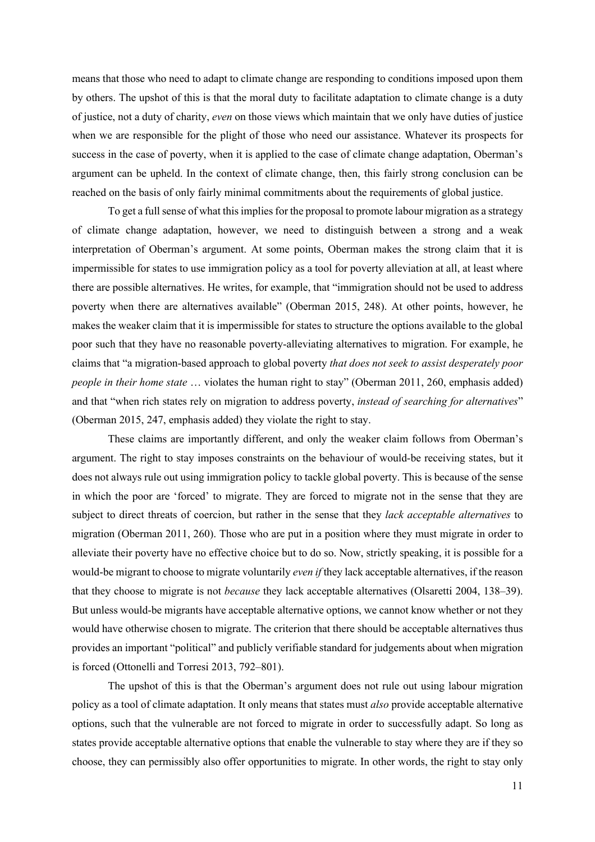means that those who need to adapt to climate change are responding to conditions imposed upon them by others. The upshot of this is that the moral duty to facilitate adaptation to climate change is a duty of justice, not a duty of charity, *even* on those views which maintain that we only have duties of justice when we are responsible for the plight of those who need our assistance. Whatever its prospects for success in the case of poverty, when it is applied to the case of climate change adaptation, Oberman's argument can be upheld. In the context of climate change, then, this fairly strong conclusion can be reached on the basis of only fairly minimal commitments about the requirements of global justice.

To get a full sense of what this implies for the proposal to promote labour migration as a strategy of climate change adaptation, however, we need to distinguish between a strong and a weak interpretation of Oberman's argument. At some points, Oberman makes the strong claim that it is impermissible for states to use immigration policy as a tool for poverty alleviation at all, at least where there are possible alternatives. He writes, for example, that "immigration should not be used to address poverty when there are alternatives available" (Oberman 2015, 248). At other points, however, he makes the weaker claim that it is impermissible for states to structure the options available to the global poor such that they have no reasonable poverty-alleviating alternatives to migration. For example, he claims that "a migration-based approach to global poverty *that does not seek to assist desperately poor people in their home state* ... violates the human right to stay" (Oberman 2011, 260, emphasis added) and that "when rich states rely on migration to address poverty, *instead of searching for alternatives*" (Oberman 2015, 247, emphasis added) they violate the right to stay.

These claims are importantly different, and only the weaker claim follows from Oberman's argument. The right to stay imposes constraints on the behaviour of would-be receiving states, but it does not always rule out using immigration policy to tackle global poverty. This is because of the sense in which the poor are 'forced' to migrate. They are forced to migrate not in the sense that they are subject to direct threats of coercion, but rather in the sense that they *lack acceptable alternatives* to migration (Oberman 2011, 260). Those who are put in a position where they must migrate in order to alleviate their poverty have no effective choice but to do so. Now, strictly speaking, it is possible for a would-be migrant to choose to migrate voluntarily *even if* they lack acceptable alternatives, if the reason that they choose to migrate is not *because* they lack acceptable alternatives (Olsaretti 2004, 138–39). But unless would-be migrants have acceptable alternative options, we cannot know whether or not they would have otherwise chosen to migrate. The criterion that there should be acceptable alternatives thus provides an important "political" and publicly verifiable standard for judgements about when migration is forced (Ottonelli and Torresi 2013, 792–801).

The upshot of this is that the Oberman's argument does not rule out using labour migration policy as a tool of climate adaptation. It only means that states must *also* provide acceptable alternative options, such that the vulnerable are not forced to migrate in order to successfully adapt. So long as states provide acceptable alternative options that enable the vulnerable to stay where they are if they so choose, they can permissibly also offer opportunities to migrate. In other words, the right to stay only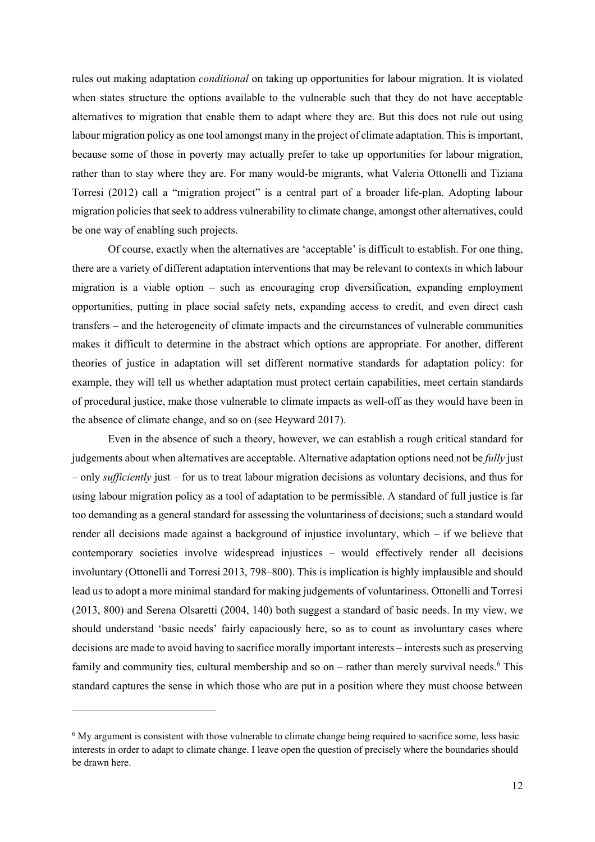rules out making adaptation *conditional* on taking up opportunities for labour migration. It is violated when states structure the options available to the vulnerable such that they do not have acceptable alternatives to migration that enable them to adapt where they are. But this does not rule out using labour migration policy as one tool amongst many in the project of climate adaptation. This is important, because some of those in poverty may actually prefer to take up opportunities for labour migration, rather than to stay where they are. For many would-be migrants, what Valeria Ottonelli and Tiziana Torresi (2012) call a "migration project" is a central part of a broader life-plan. Adopting labour migration policies that seek to address vulnerability to climate change, amongst other alternatives, could be one way of enabling such projects.

Of course, exactly when the alternatives are 'acceptable' is difficult to establish. For one thing, there are a variety of different adaptation interventions that may be relevant to contexts in which labour migration is a viable option – such as encouraging crop diversification, expanding employment opportunities, putting in place social safety nets, expanding access to credit, and even direct cash transfers – and the heterogeneity of climate impacts and the circumstances of vulnerable communities makes it difficult to determine in the abstract which options are appropriate. For another, different theories of justice in adaptation will set different normative standards for adaptation policy: for example, they will tell us whether adaptation must protect certain capabilities, meet certain standards of procedural justice, make those vulnerable to climate impacts as well-off as they would have been in the absence of climate change, and so on (see Heyward 2017).

Even in the absence of such a theory, however, we can establish a rough critical standard for judgements about when alternatives are acceptable. Alternative adaptation options need not be *fully* just – only *sufficiently* just – for us to treat labour migration decisions as voluntary decisions, and thus for using labour migration policy as a tool of adaptation to be permissible. A standard of full justice is far too demanding as a general standard for assessing the voluntariness of decisions; such a standard would render all decisions made against a background of injustice involuntary, which – if we believe that contemporary societies involve widespread injustices – would effectively render all decisions involuntary (Ottonelli and Torresi 2013, 798–800). This is implication is highly implausible and should lead us to adopt a more minimal standard for making judgements of voluntariness. Ottonelli and Torresi (2013, 800) and Serena Olsaretti (2004, 140) both suggest a standard of basic needs. In my view, we should understand 'basic needs' fairly capaciously here, so as to count as involuntary cases where decisions are made to avoid having to sacrifice morally important interests – interests such as preserving family and community ties, cultural membership and so on – rather than merely survival needs.<sup>6</sup> This standard captures the sense in which those who are put in a position where they must choose between

<sup>&</sup>lt;sup>6</sup> My argument is consistent with those vulnerable to climate change being required to sacrifice some, less basic interests in order to adapt to climate change. I leave open the question of precisely where the boundaries should be drawn here.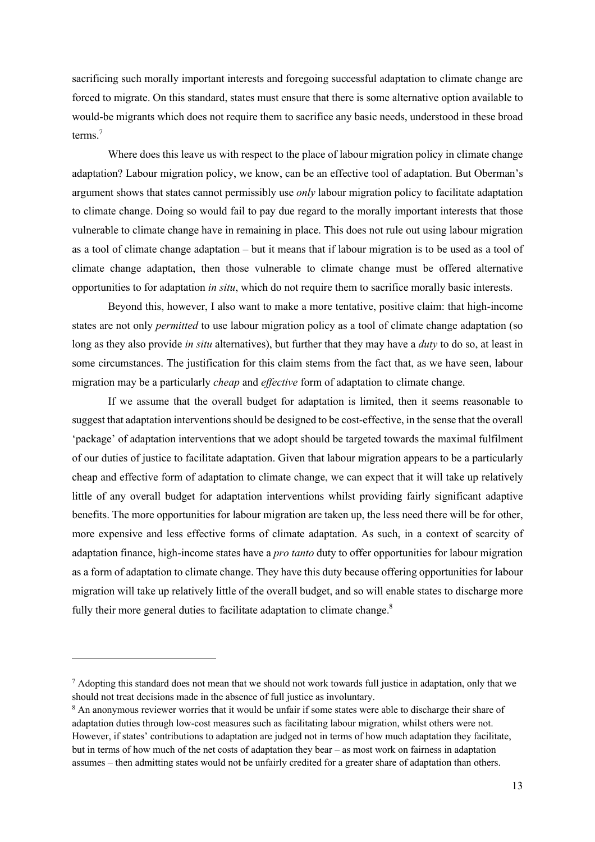sacrificing such morally important interests and foregoing successful adaptation to climate change are forced to migrate. On this standard, states must ensure that there is some alternative option available to would-be migrants which does not require them to sacrifice any basic needs, understood in these broad terms. 7

Where does this leave us with respect to the place of labour migration policy in climate change adaptation? Labour migration policy, we know, can be an effective tool of adaptation. But Oberman's argument shows that states cannot permissibly use *only* labour migration policy to facilitate adaptation to climate change. Doing so would fail to pay due regard to the morally important interests that those vulnerable to climate change have in remaining in place. This does not rule out using labour migration as a tool of climate change adaptation – but it means that if labour migration is to be used as a tool of climate change adaptation, then those vulnerable to climate change must be offered alternative opportunities to for adaptation *in situ*, which do not require them to sacrifice morally basic interests.

Beyond this, however, I also want to make a more tentative, positive claim: that high-income states are not only *permitted* to use labour migration policy as a tool of climate change adaptation (so long as they also provide *in situ* alternatives), but further that they may have a *duty* to do so, at least in some circumstances. The justification for this claim stems from the fact that, as we have seen, labour migration may be a particularly *cheap* and *effective* form of adaptation to climate change.

If we assume that the overall budget for adaptation is limited, then it seems reasonable to suggest that adaptation interventions should be designed to be cost-effective, in the sense that the overall 'package' of adaptation interventions that we adopt should be targeted towards the maximal fulfilment of our duties of justice to facilitate adaptation. Given that labour migration appears to be a particularly cheap and effective form of adaptation to climate change, we can expect that it will take up relatively little of any overall budget for adaptation interventions whilst providing fairly significant adaptive benefits. The more opportunities for labour migration are taken up, the less need there will be for other, more expensive and less effective forms of climate adaptation. As such, in a context of scarcity of adaptation finance, high-income states have a *pro tanto* duty to offer opportunities for labour migration as a form of adaptation to climate change. They have this duty because offering opportunities for labour migration will take up relatively little of the overall budget, and so will enable states to discharge more fully their more general duties to facilitate adaptation to climate change.<sup>8</sup>

<sup>&</sup>lt;sup>7</sup> Adopting this standard does not mean that we should not work towards full justice in adaptation, only that we should not treat decisions made in the absence of full justice as involuntary.

<sup>&</sup>lt;sup>8</sup> An anonymous reviewer worries that it would be unfair if some states were able to discharge their share of adaptation duties through low-cost measures such as facilitating labour migration, whilst others were not. However, if states' contributions to adaptation are judged not in terms of how much adaptation they facilitate, but in terms of how much of the net costs of adaptation they bear – as most work on fairness in adaptation assumes – then admitting states would not be unfairly credited for a greater share of adaptation than others.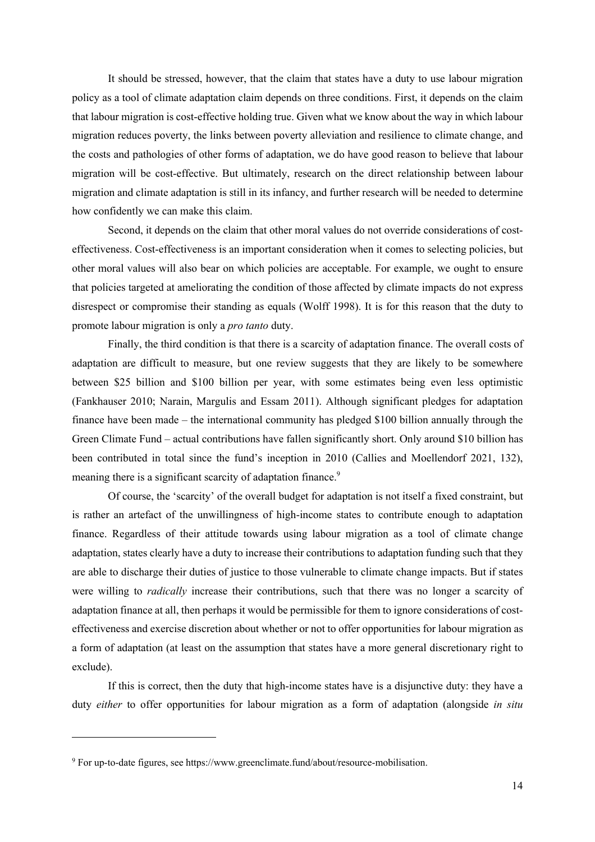It should be stressed, however, that the claim that states have a duty to use labour migration policy as a tool of climate adaptation claim depends on three conditions. First, it depends on the claim that labour migration is cost-effective holding true. Given what we know about the way in which labour migration reduces poverty, the links between poverty alleviation and resilience to climate change, and the costs and pathologies of other forms of adaptation, we do have good reason to believe that labour migration will be cost-effective. But ultimately, research on the direct relationship between labour migration and climate adaptation is still in its infancy, and further research will be needed to determine how confidently we can make this claim.

Second, it depends on the claim that other moral values do not override considerations of costeffectiveness. Cost-effectiveness is an important consideration when it comes to selecting policies, but other moral values will also bear on which policies are acceptable. For example, we ought to ensure that policies targeted at ameliorating the condition of those affected by climate impacts do not express disrespect or compromise their standing as equals (Wolff 1998). It is for this reason that the duty to promote labour migration is only a *pro tanto* duty.

Finally, the third condition is that there is a scarcity of adaptation finance. The overall costs of adaptation are difficult to measure, but one review suggests that they are likely to be somewhere between \$25 billion and \$100 billion per year, with some estimates being even less optimistic (Fankhauser 2010; Narain, Margulis and Essam 2011). Although significant pledges for adaptation finance have been made – the international community has pledged \$100 billion annually through the Green Climate Fund – actual contributions have fallen significantly short. Only around \$10 billion has been contributed in total since the fund's inception in 2010 (Callies and Moellendorf 2021, 132), meaning there is a significant scarcity of adaptation finance.<sup>9</sup>

Of course, the 'scarcity' of the overall budget for adaptation is not itself a fixed constraint, but is rather an artefact of the unwillingness of high-income states to contribute enough to adaptation finance. Regardless of their attitude towards using labour migration as a tool of climate change adaptation, states clearly have a duty to increase their contributions to adaptation funding such that they are able to discharge their duties of justice to those vulnerable to climate change impacts. But if states were willing to *radically* increase their contributions, such that there was no longer a scarcity of adaptation finance at all, then perhaps it would be permissible for them to ignore considerations of costeffectiveness and exercise discretion about whether or not to offer opportunities for labour migration as a form of adaptation (at least on the assumption that states have a more general discretionary right to exclude).

If this is correct, then the duty that high-income states have is a disjunctive duty: they have a duty *either* to offer opportunities for labour migration as a form of adaptation (alongside *in situ* 

<sup>9</sup> For up-to-date figures, see https://www.greenclimate.fund/about/resource-mobilisation.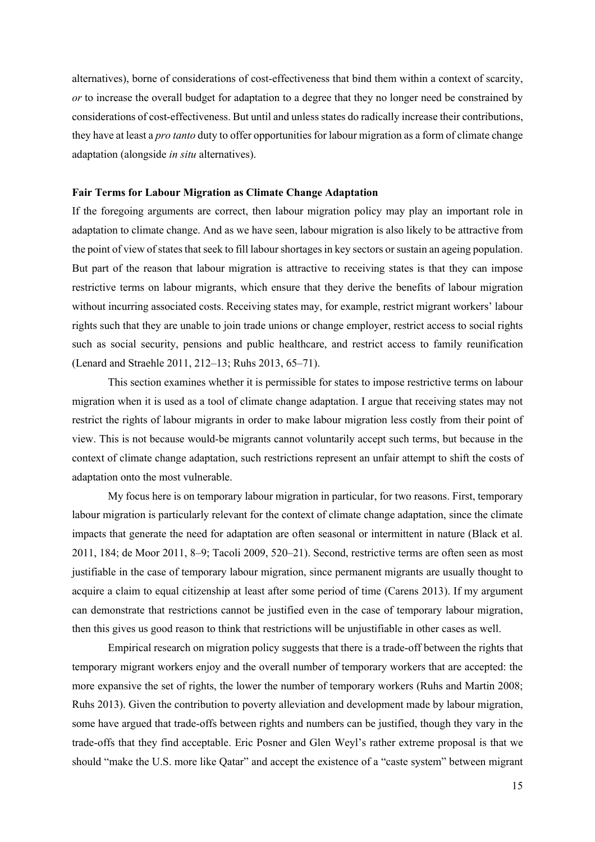alternatives), borne of considerations of cost-effectiveness that bind them within a context of scarcity, *or* to increase the overall budget for adaptation to a degree that they no longer need be constrained by considerations of cost-effectiveness. But until and unless states do radically increase their contributions, they have at least a *pro tanto* duty to offer opportunities for labour migration as a form of climate change adaptation (alongside *in situ* alternatives).

## **Fair Terms for Labour Migration as Climate Change Adaptation**

If the foregoing arguments are correct, then labour migration policy may play an important role in adaptation to climate change. And as we have seen, labour migration is also likely to be attractive from the point of view of statesthatseek to fill labour shortages in key sectors or sustain an ageing population. But part of the reason that labour migration is attractive to receiving states is that they can impose restrictive terms on labour migrants, which ensure that they derive the benefits of labour migration without incurring associated costs. Receiving states may, for example, restrict migrant workers' labour rights such that they are unable to join trade unions or change employer, restrict access to social rights such as social security, pensions and public healthcare, and restrict access to family reunification (Lenard and Straehle 2011, 212–13; Ruhs 2013, 65–71).

This section examines whether it is permissible for states to impose restrictive terms on labour migration when it is used as a tool of climate change adaptation. I argue that receiving states may not restrict the rights of labour migrants in order to make labour migration less costly from their point of view. This is not because would-be migrants cannot voluntarily accept such terms, but because in the context of climate change adaptation, such restrictions represent an unfair attempt to shift the costs of adaptation onto the most vulnerable.

My focus here is on temporary labour migration in particular, for two reasons. First, temporary labour migration is particularly relevant for the context of climate change adaptation, since the climate impacts that generate the need for adaptation are often seasonal or intermittent in nature (Black et al. 2011, 184; de Moor 2011, 8–9; Tacoli 2009, 520–21). Second, restrictive terms are often seen as most justifiable in the case of temporary labour migration, since permanent migrants are usually thought to acquire a claim to equal citizenship at least after some period of time (Carens 2013). If my argument can demonstrate that restrictions cannot be justified even in the case of temporary labour migration, then this gives us good reason to think that restrictions will be unjustifiable in other cases as well.

Empirical research on migration policy suggests that there is a trade-off between the rights that temporary migrant workers enjoy and the overall number of temporary workers that are accepted: the more expansive the set of rights, the lower the number of temporary workers (Ruhs and Martin 2008; Ruhs 2013). Given the contribution to poverty alleviation and development made by labour migration, some have argued that trade-offs between rights and numbers can be justified, though they vary in the trade-offs that they find acceptable. Eric Posner and Glen Weyl's rather extreme proposal is that we should "make the U.S. more like Qatar" and accept the existence of a "caste system" between migrant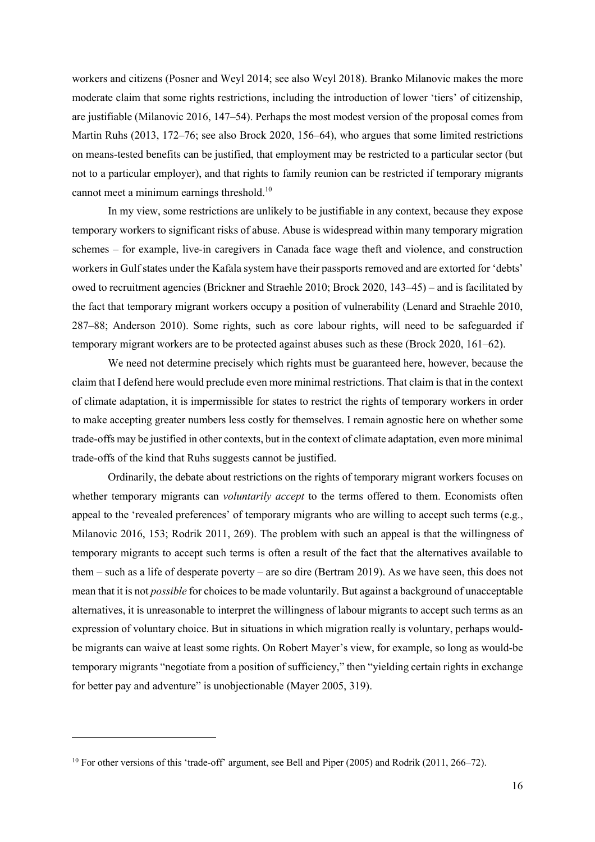workers and citizens (Posner and Weyl 2014; see also Weyl 2018). Branko Milanovic makes the more moderate claim that some rights restrictions, including the introduction of lower 'tiers' of citizenship, are justifiable (Milanovic 2016, 147–54). Perhaps the most modest version of the proposal comes from Martin Ruhs (2013, 172–76; see also Brock 2020, 156–64), who argues that some limited restrictions on means-tested benefits can be justified, that employment may be restricted to a particular sector (but not to a particular employer), and that rights to family reunion can be restricted if temporary migrants cannot meet a minimum earnings threshold.10

In my view, some restrictions are unlikely to be justifiable in any context, because they expose temporary workers to significant risks of abuse. Abuse is widespread within many temporary migration schemes – for example, live-in caregivers in Canada face wage theft and violence, and construction workers in Gulf states under the Kafala system have their passports removed and are extorted for 'debts' owed to recruitment agencies (Brickner and Straehle 2010; Brock 2020, 143–45) – and is facilitated by the fact that temporary migrant workers occupy a position of vulnerability (Lenard and Straehle 2010, 287–88; Anderson 2010). Some rights, such as core labour rights, will need to be safeguarded if temporary migrant workers are to be protected against abuses such as these (Brock 2020, 161–62).

We need not determine precisely which rights must be guaranteed here, however, because the claim that I defend here would preclude even more minimal restrictions. That claim is that in the context of climate adaptation, it is impermissible for states to restrict the rights of temporary workers in order to make accepting greater numbers less costly for themselves. I remain agnostic here on whether some trade-offs may be justified in other contexts, but in the context of climate adaptation, even more minimal trade-offs of the kind that Ruhs suggests cannot be justified.

Ordinarily, the debate about restrictions on the rights of temporary migrant workers focuses on whether temporary migrants can *voluntarily accept* to the terms offered to them. Economists often appeal to the 'revealed preferences' of temporary migrants who are willing to accept such terms (e.g., Milanovic 2016, 153; Rodrik 2011, 269). The problem with such an appeal is that the willingness of temporary migrants to accept such terms is often a result of the fact that the alternatives available to them – such as a life of desperate poverty – are so dire (Bertram 2019). As we have seen, this does not mean that it is not *possible* for choices to be made voluntarily. But against a background of unacceptable alternatives, it is unreasonable to interpret the willingness of labour migrants to accept such terms as an expression of voluntary choice. But in situations in which migration really is voluntary, perhaps wouldbe migrants can waive at least some rights. On Robert Mayer's view, for example, so long as would-be temporary migrants "negotiate from a position of sufficiency," then "yielding certain rights in exchange for better pay and adventure" is unobjectionable (Mayer 2005, 319).

<sup>&</sup>lt;sup>10</sup> For other versions of this 'trade-off' argument, see Bell and Piper (2005) and Rodrik (2011, 266–72).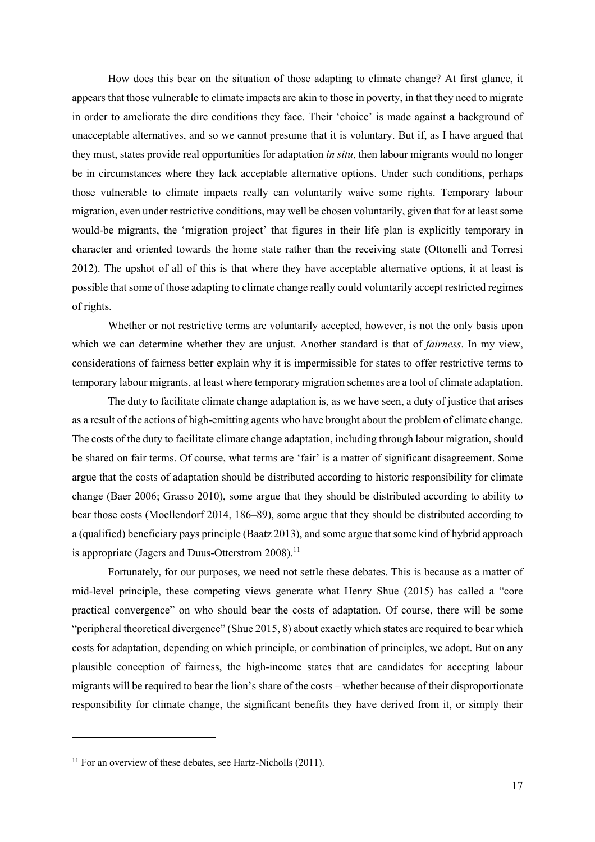How does this bear on the situation of those adapting to climate change? At first glance, it appears that those vulnerable to climate impacts are akin to those in poverty, in that they need to migrate in order to ameliorate the dire conditions they face. Their 'choice' is made against a background of unacceptable alternatives, and so we cannot presume that it is voluntary. But if, as I have argued that they must, states provide real opportunities for adaptation *in situ*, then labour migrants would no longer be in circumstances where they lack acceptable alternative options. Under such conditions, perhaps those vulnerable to climate impacts really can voluntarily waive some rights. Temporary labour migration, even under restrictive conditions, may well be chosen voluntarily, given that for at least some would-be migrants, the 'migration project' that figures in their life plan is explicitly temporary in character and oriented towards the home state rather than the receiving state (Ottonelli and Torresi 2012). The upshot of all of this is that where they have acceptable alternative options, it at least is possible that some of those adapting to climate change really could voluntarily accept restricted regimes of rights.

Whether or not restrictive terms are voluntarily accepted, however, is not the only basis upon which we can determine whether they are unjust. Another standard is that of *fairness*. In my view, considerations of fairness better explain why it is impermissible for states to offer restrictive terms to temporary labour migrants, at least where temporary migration schemes are a tool of climate adaptation.

The duty to facilitate climate change adaptation is, as we have seen, a duty of justice that arises as a result of the actions of high-emitting agents who have brought about the problem of climate change. The costs of the duty to facilitate climate change adaptation, including through labour migration, should be shared on fair terms. Of course, what terms are 'fair' is a matter of significant disagreement. Some argue that the costs of adaptation should be distributed according to historic responsibility for climate change (Baer 2006; Grasso 2010), some argue that they should be distributed according to ability to bear those costs (Moellendorf 2014, 186–89), some argue that they should be distributed according to a (qualified) beneficiary pays principle (Baatz 2013), and some argue that some kind of hybrid approach is appropriate (Jagers and Duus-Otterstrom 2008).<sup>11</sup>

Fortunately, for our purposes, we need not settle these debates. This is because as a matter of mid-level principle, these competing views generate what Henry Shue (2015) has called a "core practical convergence" on who should bear the costs of adaptation. Of course, there will be some "peripheral theoretical divergence" (Shue 2015, 8) about exactly which states are required to bear which costs for adaptation, depending on which principle, or combination of principles, we adopt. But on any plausible conception of fairness, the high-income states that are candidates for accepting labour migrants will be required to bear the lion's share of the costs – whether because of their disproportionate responsibility for climate change, the significant benefits they have derived from it, or simply their

 $11$  For an overview of these debates, see Hartz-Nicholls (2011).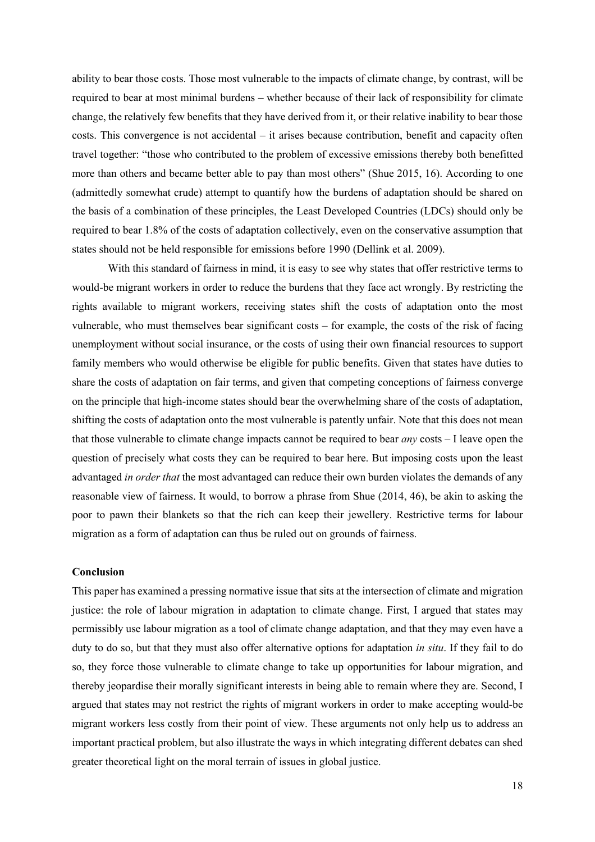ability to bear those costs. Those most vulnerable to the impacts of climate change, by contrast, will be required to bear at most minimal burdens – whether because of their lack of responsibility for climate change, the relatively few benefits that they have derived from it, or their relative inability to bear those costs. This convergence is not accidental – it arises because contribution, benefit and capacity often travel together: "those who contributed to the problem of excessive emissions thereby both benefitted more than others and became better able to pay than most others" (Shue 2015, 16). According to one (admittedly somewhat crude) attempt to quantify how the burdens of adaptation should be shared on the basis of a combination of these principles, the Least Developed Countries (LDCs) should only be required to bear 1.8% of the costs of adaptation collectively, even on the conservative assumption that states should not be held responsible for emissions before 1990 (Dellink et al. 2009).

With this standard of fairness in mind, it is easy to see why states that offer restrictive terms to would-be migrant workers in order to reduce the burdens that they face act wrongly. By restricting the rights available to migrant workers, receiving states shift the costs of adaptation onto the most vulnerable, who must themselves bear significant costs – for example, the costs of the risk of facing unemployment without social insurance, or the costs of using their own financial resources to support family members who would otherwise be eligible for public benefits. Given that states have duties to share the costs of adaptation on fair terms, and given that competing conceptions of fairness converge on the principle that high-income states should bear the overwhelming share of the costs of adaptation, shifting the costs of adaptation onto the most vulnerable is patently unfair. Note that this does not mean that those vulnerable to climate change impacts cannot be required to bear *any* costs – I leave open the question of precisely what costs they can be required to bear here. But imposing costs upon the least advantaged *in order that* the most advantaged can reduce their own burden violates the demands of any reasonable view of fairness. It would, to borrow a phrase from Shue (2014, 46), be akin to asking the poor to pawn their blankets so that the rich can keep their jewellery. Restrictive terms for labour migration as a form of adaptation can thus be ruled out on grounds of fairness.

### **Conclusion**

This paper has examined a pressing normative issue that sits at the intersection of climate and migration justice: the role of labour migration in adaptation to climate change. First, I argued that states may permissibly use labour migration as a tool of climate change adaptation, and that they may even have a duty to do so, but that they must also offer alternative options for adaptation *in situ*. If they fail to do so, they force those vulnerable to climate change to take up opportunities for labour migration, and thereby jeopardise their morally significant interests in being able to remain where they are. Second, I argued that states may not restrict the rights of migrant workers in order to make accepting would-be migrant workers less costly from their point of view. These arguments not only help us to address an important practical problem, but also illustrate the ways in which integrating different debates can shed greater theoretical light on the moral terrain of issues in global justice.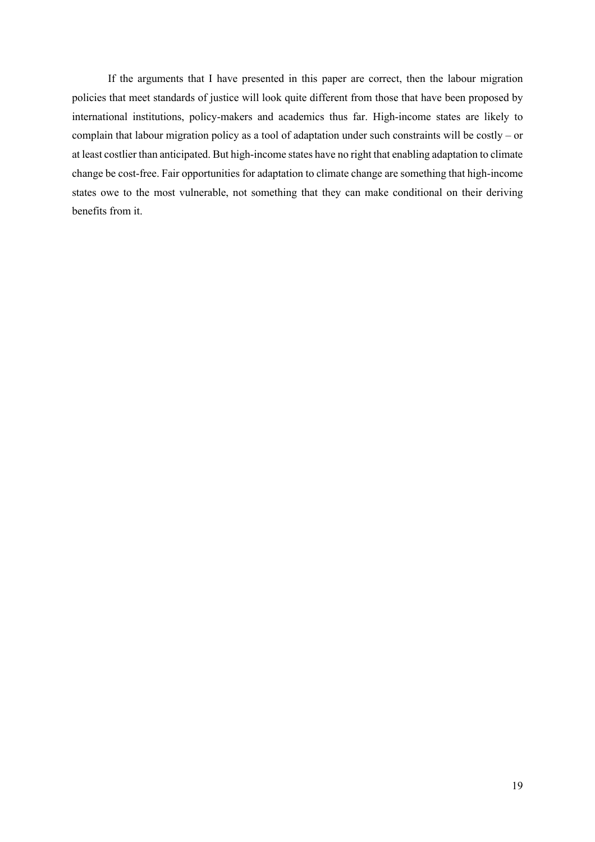If the arguments that I have presented in this paper are correct, then the labour migration policies that meet standards of justice will look quite different from those that have been proposed by international institutions, policy-makers and academics thus far. High-income states are likely to complain that labour migration policy as a tool of adaptation under such constraints will be costly – or at least costlier than anticipated. But high-income states have no right that enabling adaptation to climate change be cost-free. Fair opportunities for adaptation to climate change are something that high-income states owe to the most vulnerable, not something that they can make conditional on their deriving benefits from it.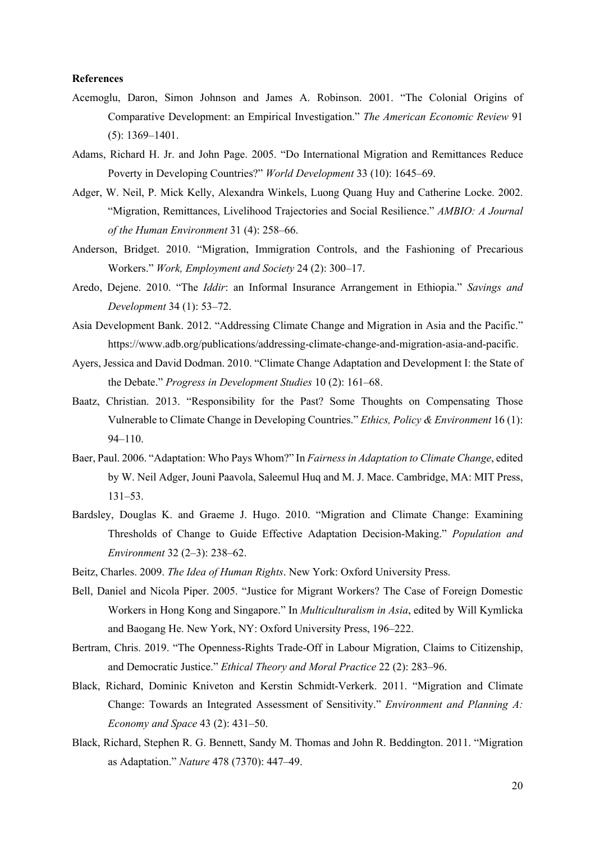#### **References**

- Acemoglu, Daron, Simon Johnson and James A. Robinson. 2001. "The Colonial Origins of Comparative Development: an Empirical Investigation." *The American Economic Review* 91 (5): 1369–1401.
- Adams, Richard H. Jr. and John Page. 2005. "Do International Migration and Remittances Reduce Poverty in Developing Countries?" *World Development* 33 (10): 1645–69.
- Adger, W. Neil, P. Mick Kelly, Alexandra Winkels, Luong Quang Huy and Catherine Locke. 2002. "Migration, Remittances, Livelihood Trajectories and Social Resilience." *AMBIO: A Journal of the Human Environment* 31 (4): 258–66.
- Anderson, Bridget. 2010. "Migration, Immigration Controls, and the Fashioning of Precarious Workers." *Work, Employment and Society* 24 (2): 300–17.
- Aredo, Dejene. 2010. "The *Iddir*: an Informal Insurance Arrangement in Ethiopia." *Savings and Development* 34 (1): 53–72.
- Asia Development Bank. 2012. "Addressing Climate Change and Migration in Asia and the Pacific." https://www.adb.org/publications/addressing-climate-change-and-migration-asia-and-pacific.
- Ayers, Jessica and David Dodman. 2010. "Climate Change Adaptation and Development I: the State of the Debate." *Progress in Development Studies* 10 (2): 161–68.
- Baatz, Christian. 2013. "Responsibility for the Past? Some Thoughts on Compensating Those Vulnerable to Climate Change in Developing Countries." *Ethics, Policy & Environment* 16 (1): 94–110.
- Baer, Paul. 2006. "Adaptation: Who Pays Whom?" In *Fairness in Adaptation to Climate Change*, edited by W. Neil Adger, Jouni Paavola, Saleemul Huq and M. J. Mace. Cambridge, MA: MIT Press, 131–53.
- Bardsley, Douglas K. and Graeme J. Hugo. 2010. "Migration and Climate Change: Examining Thresholds of Change to Guide Effective Adaptation Decision-Making." *Population and Environment* 32 (2–3): 238–62.
- Beitz, Charles. 2009. *The Idea of Human Rights*. New York: Oxford University Press.
- Bell, Daniel and Nicola Piper. 2005. "Justice for Migrant Workers? The Case of Foreign Domestic Workers in Hong Kong and Singapore." In *Multiculturalism in Asia*, edited by Will Kymlicka and Baogang He. New York, NY: Oxford University Press, 196–222.
- Bertram, Chris. 2019. "The Openness-Rights Trade-Off in Labour Migration, Claims to Citizenship, and Democratic Justice." *Ethical Theory and Moral Practice* 22 (2): 283–96.
- Black, Richard, Dominic Kniveton and Kerstin Schmidt-Verkerk. 2011. "Migration and Climate Change: Towards an Integrated Assessment of Sensitivity." *Environment and Planning A: Economy and Space* 43 (2): 431–50.
- Black, Richard, Stephen R. G. Bennett, Sandy M. Thomas and John R. Beddington. 2011. "Migration as Adaptation." *Nature* 478 (7370): 447–49.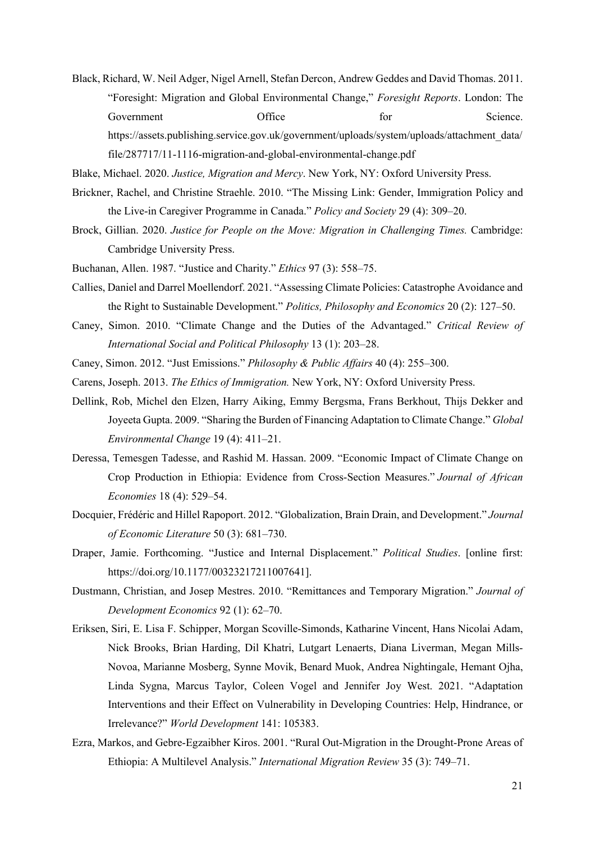Black, Richard, W. Neil Adger, Nigel Arnell, Stefan Dercon, Andrew Geddes and David Thomas. 2011. "Foresight: Migration and Global Environmental Change," *Foresight Reports*. London: The Government Office for Science. https://assets.publishing.service.gov.uk/government/uploads/system/uploads/attachment\_data/

Blake, Michael. 2020. *Justice, Migration and Mercy*. New York, NY: Oxford University Press.

file/287717/11-1116-migration-and-global-environmental-change.pdf

- Brickner, Rachel, and Christine Straehle. 2010. "The Missing Link: Gender, Immigration Policy and the Live-in Caregiver Programme in Canada." *Policy and Society* 29 (4): 309–20.
- Brock, Gillian. 2020. *Justice for People on the Move: Migration in Challenging Times.* Cambridge: Cambridge University Press.
- Buchanan, Allen. 1987. "Justice and Charity." *Ethics* 97 (3): 558–75.
- Callies, Daniel and Darrel Moellendorf. 2021. "Assessing Climate Policies: Catastrophe Avoidance and the Right to Sustainable Development." *Politics, Philosophy and Economics* 20 (2): 127–50.
- Caney, Simon. 2010. "Climate Change and the Duties of the Advantaged." *Critical Review of International Social and Political Philosophy* 13 (1): 203–28.
- Caney, Simon. 2012. "Just Emissions." *Philosophy & Public Affairs* 40 (4): 255–300.
- Carens, Joseph. 2013. *The Ethics of Immigration.* New York, NY: Oxford University Press.
- Dellink, Rob, Michel den Elzen, Harry Aiking, Emmy Bergsma, Frans Berkhout, Thijs Dekker and Joyeeta Gupta. 2009. "Sharing the Burden of Financing Adaptation to Climate Change." *Global Environmental Change* 19 (4): 411–21.
- Deressa, Temesgen Tadesse, and Rashid M. Hassan. 2009. "Economic Impact of Climate Change on Crop Production in Ethiopia: Evidence from Cross-Section Measures." *Journal of African Economies* 18 (4): 529–54.
- Docquier, Frédéric and Hillel Rapoport. 2012. "Globalization, Brain Drain, and Development." *Journal of Economic Literature* 50 (3): 681–730.
- Draper, Jamie. Forthcoming. "Justice and Internal Displacement." *Political Studies*. [online first: https://doi.org/10.1177/00323217211007641].
- Dustmann, Christian, and Josep Mestres. 2010. "Remittances and Temporary Migration." *Journal of Development Economics* 92 (1): 62–70.
- Eriksen, Siri, E. Lisa F. Schipper, Morgan Scoville-Simonds, Katharine Vincent, Hans Nicolai Adam, Nick Brooks, Brian Harding, Dil Khatri, Lutgart Lenaerts, Diana Liverman, Megan Mills-Novoa, Marianne Mosberg, Synne Movik, Benard Muok, Andrea Nightingale, Hemant Ojha, Linda Sygna, Marcus Taylor, Coleen Vogel and Jennifer Joy West. 2021. "Adaptation Interventions and their Effect on Vulnerability in Developing Countries: Help, Hindrance, or Irrelevance?" *World Development* 141: 105383.
- Ezra, Markos, and Gebre-Egzaibher Kiros. 2001. "Rural Out-Migration in the Drought-Prone Areas of Ethiopia: A Multilevel Analysis." *International Migration Review* 35 (3): 749–71.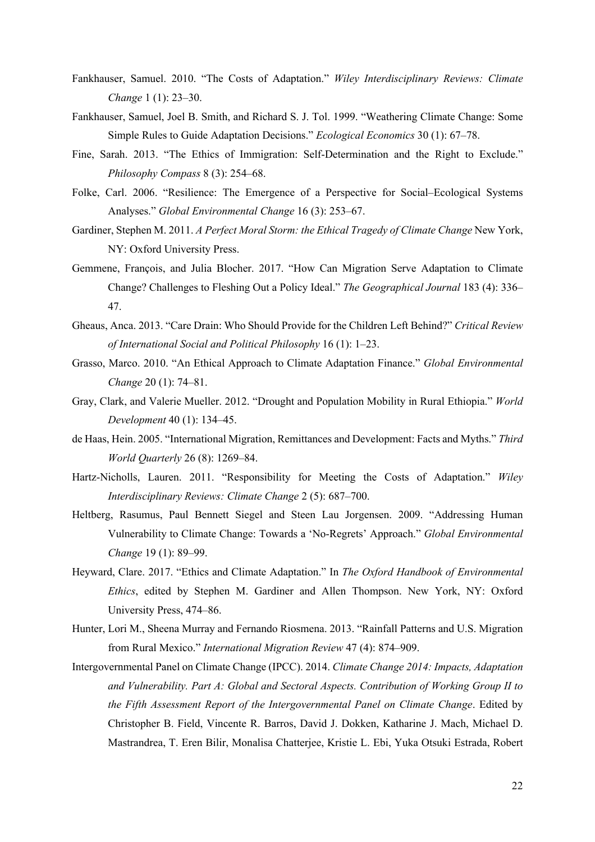- Fankhauser, Samuel. 2010. "The Costs of Adaptation." *Wiley Interdisciplinary Reviews: Climate Change* 1 (1): 23–30.
- Fankhauser, Samuel, Joel B. Smith, and Richard S. J. Tol. 1999. "Weathering Climate Change: Some Simple Rules to Guide Adaptation Decisions." *Ecological Economics* 30 (1): 67–78.
- Fine, Sarah. 2013. "The Ethics of Immigration: Self-Determination and the Right to Exclude." *Philosophy Compass* 8 (3): 254–68.
- Folke, Carl. 2006. "Resilience: The Emergence of a Perspective for Social–Ecological Systems Analyses." *Global Environmental Change* 16 (3): 253–67.
- Gardiner, Stephen M. 2011. *A Perfect Moral Storm: the Ethical Tragedy of Climate Change* New York, NY: Oxford University Press.
- Gemmene, François, and Julia Blocher. 2017. "How Can Migration Serve Adaptation to Climate Change? Challenges to Fleshing Out a Policy Ideal." *The Geographical Journal* 183 (4): 336– 47.
- Gheaus, Anca. 2013. "Care Drain: Who Should Provide for the Children Left Behind?" *Critical Review of International Social and Political Philosophy* 16 (1): 1–23.
- Grasso, Marco. 2010. "An Ethical Approach to Climate Adaptation Finance." *Global Environmental Change* 20 (1): 74–81.
- Gray, Clark, and Valerie Mueller. 2012. "Drought and Population Mobility in Rural Ethiopia." *World Development* 40 (1): 134–45.
- de Haas, Hein. 2005. "International Migration, Remittances and Development: Facts and Myths." *Third World Quarterly* 26 (8): 1269–84.
- Hartz-Nicholls, Lauren. 2011. "Responsibility for Meeting the Costs of Adaptation." *Wiley Interdisciplinary Reviews: Climate Change* 2 (5): 687–700.
- Heltberg, Rasumus, Paul Bennett Siegel and Steen Lau Jorgensen. 2009. "Addressing Human Vulnerability to Climate Change: Towards a 'No-Regrets' Approach." *Global Environmental Change* 19 (1): 89–99.
- Heyward, Clare. 2017. "Ethics and Climate Adaptation." In *The Oxford Handbook of Environmental Ethics*, edited by Stephen M. Gardiner and Allen Thompson. New York, NY: Oxford University Press, 474–86.
- Hunter, Lori M., Sheena Murray and Fernando Riosmena. 2013. "Rainfall Patterns and U.S. Migration from Rural Mexico." *International Migration Review* 47 (4): 874–909.
- Intergovernmental Panel on Climate Change (IPCC). 2014. *Climate Change 2014: Impacts, Adaptation and Vulnerability. Part A: Global and Sectoral Aspects. Contribution of Working Group II to the Fifth Assessment Report of the Intergovernmental Panel on Climate Change*. Edited by Christopher B. Field, Vincente R. Barros, David J. Dokken, Katharine J. Mach, Michael D. Mastrandrea, T. Eren Bilir, Monalisa Chatterjee, Kristie L. Ebi, Yuka Otsuki Estrada, Robert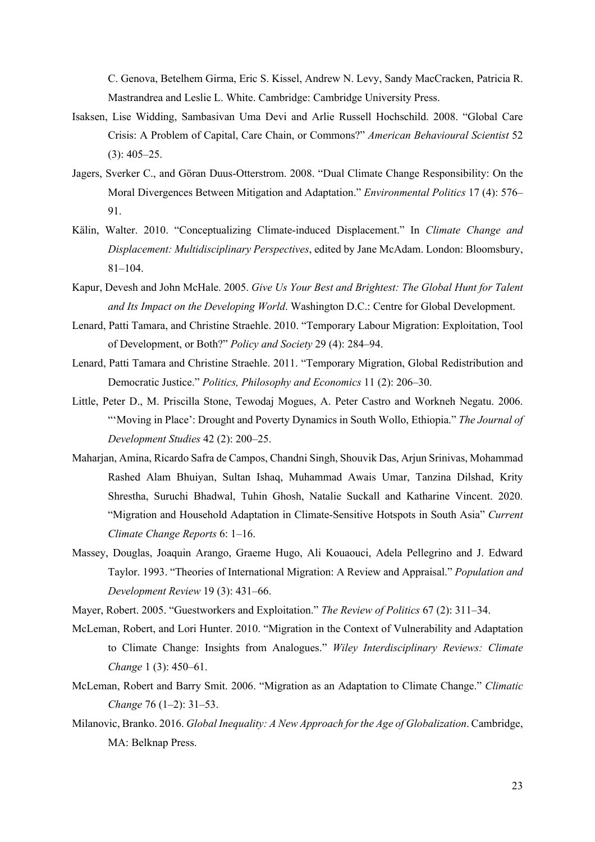C. Genova, Betelhem Girma, Eric S. Kissel, Andrew N. Levy, Sandy MacCracken, Patricia R. Mastrandrea and Leslie L. White. Cambridge: Cambridge University Press.

- Isaksen, Lise Widding, Sambasivan Uma Devi and Arlie Russell Hochschild. 2008. "Global Care Crisis: A Problem of Capital, Care Chain, or Commons?" *American Behavioural Scientist* 52  $(3): 405 - 25.$
- Jagers, Sverker C., and Göran Duus-Otterstrom. 2008. "Dual Climate Change Responsibility: On the Moral Divergences Between Mitigation and Adaptation." *Environmental Politics* 17 (4): 576– 91.
- Kälin, Walter. 2010. "Conceptualizing Climate-induced Displacement." In *Climate Change and Displacement: Multidisciplinary Perspectives*, edited by Jane McAdam. London: Bloomsbury, 81–104.
- Kapur, Devesh and John McHale. 2005. *Give Us Your Best and Brightest: The Global Hunt for Talent and Its Impact on the Developing World*. Washington D.C.: Centre for Global Development.
- Lenard, Patti Tamara, and Christine Straehle. 2010. "Temporary Labour Migration: Exploitation, Tool of Development, or Both?" *Policy and Society* 29 (4): 284–94.
- Lenard, Patti Tamara and Christine Straehle. 2011. "Temporary Migration, Global Redistribution and Democratic Justice." *Politics, Philosophy and Economics* 11 (2): 206–30.
- Little, Peter D., M. Priscilla Stone, Tewodaj Mogues, A. Peter Castro and Workneh Negatu. 2006. "'Moving in Place': Drought and Poverty Dynamics in South Wollo, Ethiopia." *The Journal of Development Studies* 42 (2): 200–25.
- Maharjan, Amina, Ricardo Safra de Campos, Chandni Singh, Shouvik Das, Arjun Srinivas, Mohammad Rashed Alam Bhuiyan, Sultan Ishaq, Muhammad Awais Umar, Tanzina Dilshad, Krity Shrestha, Suruchi Bhadwal, Tuhin Ghosh, Natalie Suckall and Katharine Vincent. 2020. "Migration and Household Adaptation in Climate-Sensitive Hotspots in South Asia" *Current Climate Change Reports* 6: 1–16.
- Massey, Douglas, Joaquin Arango, Graeme Hugo, Ali Kouaouci, Adela Pellegrino and J. Edward Taylor. 1993. "Theories of International Migration: A Review and Appraisal." *Population and Development Review* 19 (3): 431–66.
- Mayer, Robert. 2005. "Guestworkers and Exploitation." *The Review of Politics* 67 (2): 311–34.
- McLeman, Robert, and Lori Hunter. 2010. "Migration in the Context of Vulnerability and Adaptation to Climate Change: Insights from Analogues." *Wiley Interdisciplinary Reviews: Climate Change* 1 (3): 450–61.
- McLeman, Robert and Barry Smit. 2006. "Migration as an Adaptation to Climate Change." *Climatic Change* 76 (1–2): 31–53.
- Milanovic, Branko. 2016. *Global Inequality: A New Approach for the Age of Globalization*. Cambridge, MA: Belknap Press.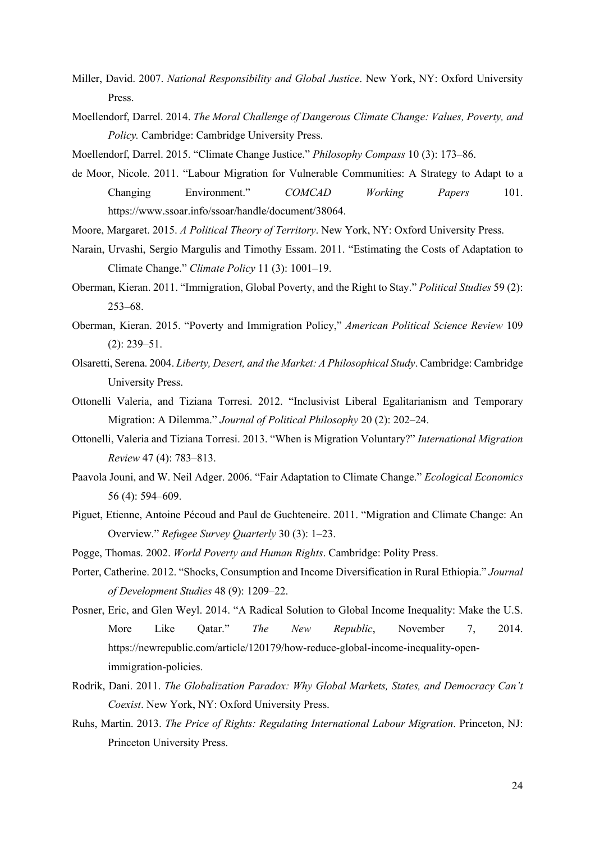- Miller, David. 2007. *National Responsibility and Global Justice*. New York, NY: Oxford University Press.
- Moellendorf, Darrel. 2014. *The Moral Challenge of Dangerous Climate Change: Values, Poverty, and Policy.* Cambridge: Cambridge University Press.
- Moellendorf, Darrel. 2015. "Climate Change Justice." *Philosophy Compass* 10 (3): 173–86.
- de Moor, Nicole. 2011. "Labour Migration for Vulnerable Communities: A Strategy to Adapt to a Changing Environment." *COMCAD Working Papers* 101. https://www.ssoar.info/ssoar/handle/document/38064.
- Moore, Margaret. 2015. *A Political Theory of Territory*. New York, NY: Oxford University Press.
- Narain, Urvashi, Sergio Margulis and Timothy Essam. 2011. "Estimating the Costs of Adaptation to Climate Change." *Climate Policy* 11 (3): 1001–19.
- Oberman, Kieran. 2011. "Immigration, Global Poverty, and the Right to Stay." *Political Studies* 59 (2): 253–68.
- Oberman, Kieran. 2015. "Poverty and Immigration Policy," *American Political Science Review* 109 (2): 239–51.
- Olsaretti, Serena. 2004. *Liberty, Desert, and the Market: A Philosophical Study*. Cambridge: Cambridge University Press.
- Ottonelli Valeria, and Tiziana Torresi. 2012. "Inclusivist Liberal Egalitarianism and Temporary Migration: A Dilemma." *Journal of Political Philosophy* 20 (2): 202–24.
- Ottonelli, Valeria and Tiziana Torresi. 2013. "When is Migration Voluntary?" *International Migration Review* 47 (4): 783–813.
- Paavola Jouni, and W. Neil Adger. 2006. "Fair Adaptation to Climate Change." *Ecological Economics* 56 (4): 594–609.
- Piguet, Etienne, Antoine Pécoud and Paul de Guchteneire. 2011. "Migration and Climate Change: An Overview." *Refugee Survey Quarterly* 30 (3): 1–23.
- Pogge, Thomas. 2002. *World Poverty and Human Rights*. Cambridge: Polity Press.
- Porter, Catherine. 2012. "Shocks, Consumption and Income Diversification in Rural Ethiopia." *Journal of Development Studies* 48 (9): 1209–22.
- Posner, Eric, and Glen Weyl. 2014. "A Radical Solution to Global Income Inequality: Make the U.S. More Like Qatar." *The New Republic*, November 7, 2014. https://newrepublic.com/article/120179/how-reduce-global-income-inequality-openimmigration-policies.
- Rodrik, Dani. 2011. *The Globalization Paradox: Why Global Markets, States, and Democracy Can't Coexist*. New York, NY: Oxford University Press.
- Ruhs, Martin. 2013. *The Price of Rights: Regulating International Labour Migration*. Princeton, NJ: Princeton University Press.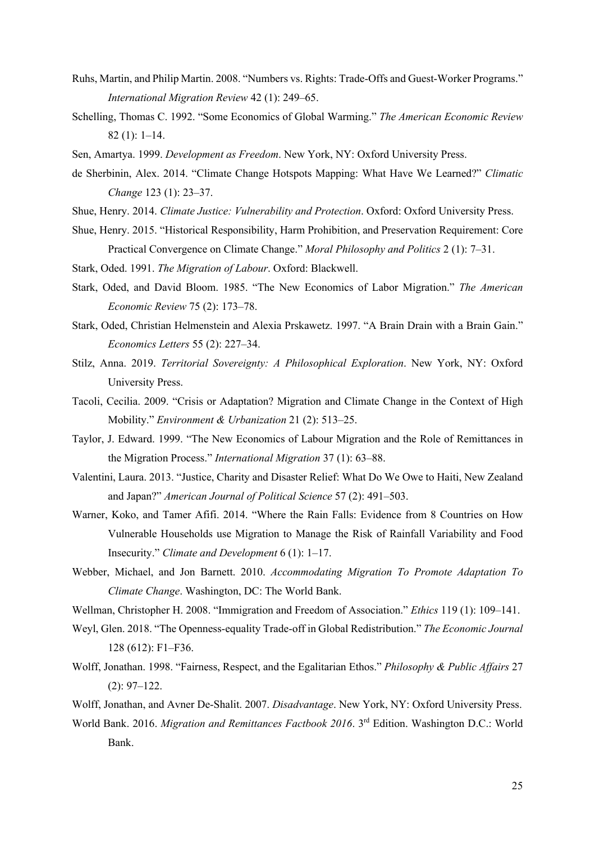- Ruhs, Martin, and Philip Martin. 2008. "Numbers vs. Rights: Trade-Offs and Guest-Worker Programs." *International Migration Review* 42 (1): 249–65.
- Schelling, Thomas C. 1992. "Some Economics of Global Warming." *The American Economic Review* 82 (1): 1–14.
- Sen, Amartya. 1999. *Development as Freedom*. New York, NY: Oxford University Press.
- de Sherbinin, Alex. 2014. "Climate Change Hotspots Mapping: What Have We Learned?" *Climatic Change* 123 (1): 23–37.
- Shue, Henry. 2014. *Climate Justice: Vulnerability and Protection*. Oxford: Oxford University Press.
- Shue, Henry. 2015. "Historical Responsibility, Harm Prohibition, and Preservation Requirement: Core Practical Convergence on Climate Change." *Moral Philosophy and Politics* 2 (1): 7–31.
- Stark, Oded. 1991. *The Migration of Labour*. Oxford: Blackwell.
- Stark, Oded, and David Bloom. 1985. "The New Economics of Labor Migration." *The American Economic Review* 75 (2): 173–78.
- Stark, Oded, Christian Helmenstein and Alexia Prskawetz. 1997. "A Brain Drain with a Brain Gain." *Economics Letters* 55 (2): 227–34.
- Stilz, Anna. 2019. *Territorial Sovereignty: A Philosophical Exploration*. New York, NY: Oxford University Press.
- Tacoli, Cecilia. 2009. "Crisis or Adaptation? Migration and Climate Change in the Context of High Mobility." *Environment & Urbanization* 21 (2): 513–25.
- Taylor, J. Edward. 1999. "The New Economics of Labour Migration and the Role of Remittances in the Migration Process." *International Migration* 37 (1): 63–88.
- Valentini, Laura. 2013. "Justice, Charity and Disaster Relief: What Do We Owe to Haiti, New Zealand and Japan?" *American Journal of Political Science* 57 (2): 491–503.
- Warner, Koko, and Tamer Afifi. 2014. "Where the Rain Falls: Evidence from 8 Countries on How Vulnerable Households use Migration to Manage the Risk of Rainfall Variability and Food Insecurity." *Climate and Development* 6 (1): 1–17.
- Webber, Michael, and Jon Barnett. 2010. *Accommodating Migration To Promote Adaptation To Climate Change*. Washington, DC: The World Bank.

Wellman, Christopher H. 2008. "Immigration and Freedom of Association." *Ethics* 119 (1): 109–141.

- Weyl, Glen. 2018. "The Openness-equality Trade-off in Global Redistribution." *The Economic Journal* 128 (612): F1–F36.
- Wolff, Jonathan. 1998. "Fairness, Respect, and the Egalitarian Ethos." *Philosophy & Public Affairs* 27 (2): 97–122.
- Wolff, Jonathan, and Avner De-Shalit. 2007. *Disadvantage*. New York, NY: Oxford University Press.
- World Bank. 2016. *Migration and Remittances Factbook 2016*. 3rd Edition. Washington D.C.: World Bank.